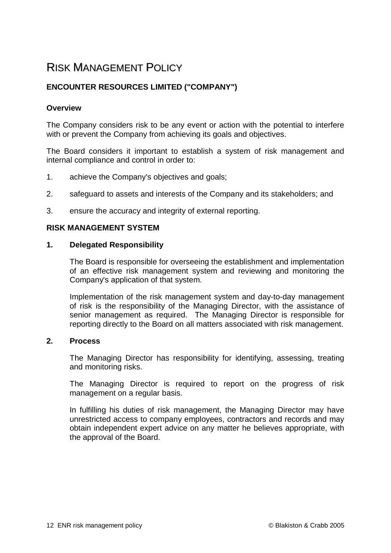# RISK MANAGEMENT POLICY

## **ENCOUNTER RESOURCES LIMITED ("COMPANY")**

## **Overview**

The Company considers risk to be any event or action with the potential to interfere with or prevent the Company from achieving its goals and objectives.

The Board considers it important to establish a system of risk management and internal compliance and control in order to:

- 1. achieve the Company's objectives and goals;
- 2. safeguard to assets and interests of the Company and its stakeholders; and
- 3. ensure the accuracy and integrity of external reporting.

#### **RISK MANAGEMENT SYSTEM**

#### **1. Delegated Responsibility**

The Board is responsible for overseeing the establishment and implementation of an effective risk management system and reviewing and monitoring the Company's application of that system.

Implementation of the risk management system and day-to-day management of risk is the responsibility of the Managing Director, with the assistance of senior management as required. The Managing Director is responsible for reporting directly to the Board on all matters associated with risk management.

#### **2. Process**

The Managing Director has responsibility for identifying, assessing, treating and monitoring risks.

The Managing Director is required to report on the progress of risk management on a regular basis.

In fulfilling his duties of risk management, the Managing Director may have unrestricted access to company employees, contractors and records and may obtain independent expert advice on any matter he believes appropriate, with the approval of the Board.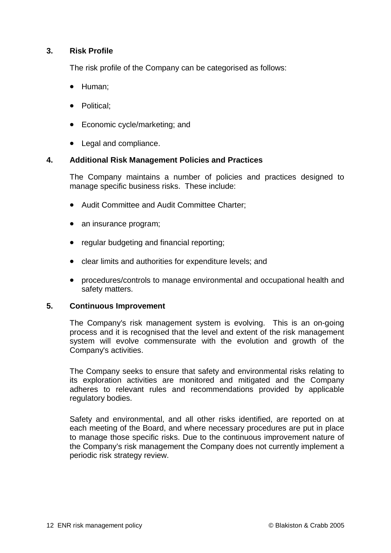## **3. Risk Profile**

The risk profile of the Company can be categorised as follows:

- Human;
- Political:
- Economic cycle/marketing; and
- Legal and compliance.

## **4. Additional Risk Management Policies and Practices**

The Company maintains a number of policies and practices designed to manage specific business risks. These include:

- Audit Committee and Audit Committee Charter;
- an insurance program;
- regular budgeting and financial reporting:
- clear limits and authorities for expenditure levels; and
- procedures/controls to manage environmental and occupational health and safety matters.

## **5. Continuous Improvement**

The Company's risk management system is evolving. This is an on-going process and it is recognised that the level and extent of the risk management system will evolve commensurate with the evolution and growth of the Company's activities.

The Company seeks to ensure that safety and environmental risks relating to its exploration activities are monitored and mitigated and the Company adheres to relevant rules and recommendations provided by applicable regulatory bodies.

Safety and environmental, and all other risks identified, are reported on at each meeting of the Board, and where necessary procedures are put in place to manage those specific risks. Due to the continuous improvement nature of the Company's risk management the Company does not currently implement a periodic risk strategy review.